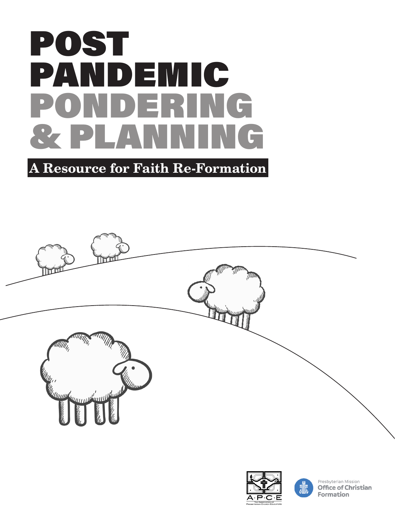

## A Resource for Faith Re-Formation







Presbyterian Mission **Office of Christian** Formation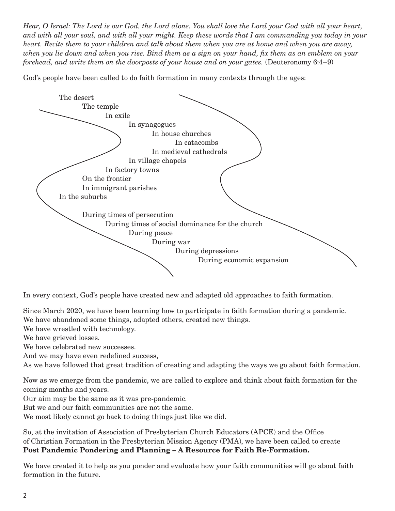*Hear, O Israel: The Lord is our God, the Lord alone. You shall love the Lord your God with all your heart, and with all your soul, and with all your might. Keep these words that I am commanding you today in your heart. Recite them to your children and talk about them when you are at home and when you are away, when you lie down and when you rise. Bind them as a sign on your hand, fix them as an emblem on your forehead, and write them on the doorposts of your house and on your gates.* (Deuteronomy 6:4–9)

God's people have been called to do faith formation in many contexts through the ages:



In every context, God's people have created new and adapted old approaches to faith formation.

Since March 2020, we have been learning how to participate in faith formation during a pandemic. We have abandoned some things, adapted others, created new things.

We have wrestled with technology.

We have grieved losses.

We have celebrated new successes.

And we may have even redefined success,

As we have followed that great tradition of creating and adapting the ways we go about faith formation.

Now as we emerge from the pandemic, we are called to explore and think about faith formation for the coming months and years.

Our aim may be the same as it was pre-pandemic.

But we and our faith communities are not the same.

We most likely cannot go back to doing things just like we did.

So, at the invitation of Association of Presbyterian Church Educators (APCE) and the Office of Christian Formation in the Presbyterian Mission Agency (PMA), we have been called to create Post Pandemic Pondering and Planning – A Resource for Faith Re-Formation.

We have created it to help as you ponder and evaluate how your faith communities will go about faith formation in the future.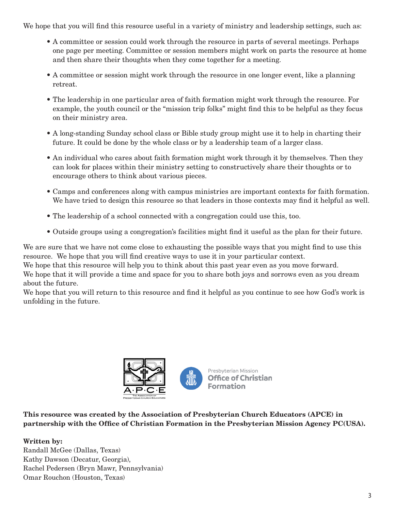We hope that you will find this resource useful in a variety of ministry and leadership settings, such as:

- A committee or session could work through the resource in parts of several meetings. Perhaps one page per meeting. Committee or session members might work on parts the resource at home and then share their thoughts when they come together for a meeting.
- A committee or session might work through the resource in one longer event, like a planning retreat.
- The leadership in one particular area of faith formation might work through the resource. For example, the youth council or the "mission trip folks" might find this to be helpful as they focus on their ministry area.
- A long-standing Sunday school class or Bible study group might use it to help in charting their future. It could be done by the whole class or by a leadership team of a larger class.
- An individual who cares about faith formation might work through it by themselves. Then they can look for places within their ministry setting to constructively share their thoughts or to encourage others to think about various pieces.
- Camps and conferences along with campus ministries are important contexts for faith formation. We have tried to design this resource so that leaders in those contexts may find it helpful as well.
- The leadership of a school connected with a congregation could use this, too.
- Outside groups using a congregation's facilities might find it useful as the plan for their future.

We are sure that we have not come close to exhausting the possible ways that you might find to use this resource. We hope that you will find creative ways to use it in your particular context.

We hope that this resource will help you to think about this past year even as you move forward.

We hope that it will provide a time and space for you to share both joys and sorrows even as you dream about the future.

We hope that you will return to this resource and find it helpful as you continue to see how God's work is unfolding in the future.



This resource was created by the Association of Presbyterian Church Educators (APCE) in partnership with the Office of Christian Formation in the Presbyterian Mission Agency PC(USA).

## Written by:

Randall McGee (Dallas, Texas) Kathy Dawson (Decatur, Georgia), Rachel Pedersen (Bryn Mawr, Pennsylvania) Omar Rouchon (Houston, Texas)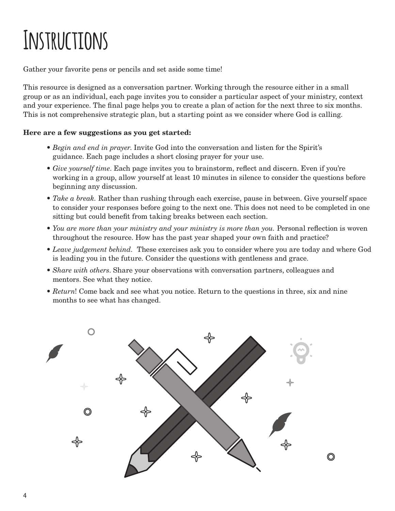# **Instructions**

Gather your favorite pens or pencils and set aside some time!

This resource is designed as a conversation partner. Working through the resource either in a small group or as an individual, each page invites you to consider a particular aspect of your ministry, context and your experience. The final page helps you to create a plan of action for the next three to six months. This is not comprehensive strategic plan, but a starting point as we consider where God is calling.

## Here are a few suggestions as you get started:

- *Begin and end in prayer*. Invite God into the conversation and listen for the Spirit's guidance. Each page includes a short closing prayer for your use.
- *Give yourself time*. Each page invites you to brainstorm, reflect and discern. Even if you're working in a group, allow yourself at least 10 minutes in silence to consider the questions before beginning any discussion.
- *Take a break.* Rather than rushing through each exercise, pause in between. Give yourself space to consider your responses before going to the next one. This does not need to be completed in one sitting but could benefit from taking breaks between each section.
- *You are more than your ministry and your ministry is more than you*. Personal reflection is woven throughout the resource. How has the past year shaped your own faith and practice?
- *Leave judgement behind.* These exercises ask you to consider where you are today and where God is leading you in the future. Consider the questions with gentleness and grace.
- *Share with others*. Share your observations with conversation partners, colleagues and mentors. See what they notice.
- *Return*! Come back and see what you notice. Return to the questions in three, six and nine months to see what has changed.

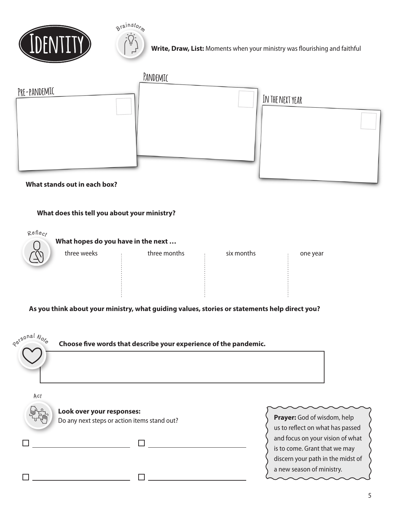



**Write, Draw, List:** Moments when your ministry was flourishing and faithful

|              | PANDEMIC |                  |
|--------------|----------|------------------|
| PRE-PANDEMIC |          | IN THE NEXT YEAR |
|              |          |                  |
|              |          |                  |
|              |          |                  |
|              |          |                  |
|              |          |                  |

## **What stands out in each box?**

### **What does this tell you about your ministry?**



## **As you think about your ministry, what guiding values, stories or statements help direct you?**

| Revsonal Note | Choose five words that describe your experience of the pandemic.          |                                                                                                                                     |
|---------------|---------------------------------------------------------------------------|-------------------------------------------------------------------------------------------------------------------------------------|
| Act           | Look over your responses:<br>Do any next steps or action items stand out? | Prayer: God of wisdom, help<br>us to reflect on what has passed                                                                     |
|               |                                                                           | and focus on your vision of what<br>is to come. Grant that we may<br>discern your path in the midst of<br>a new season of ministry. |
|               |                                                                           |                                                                                                                                     |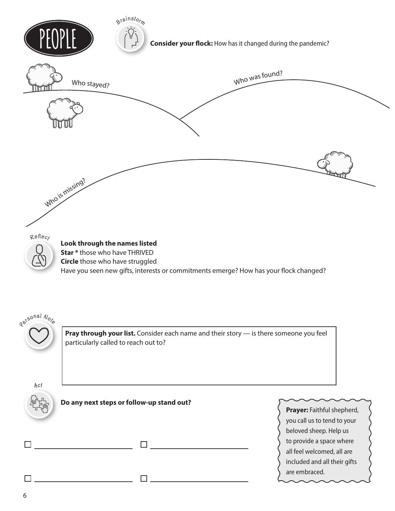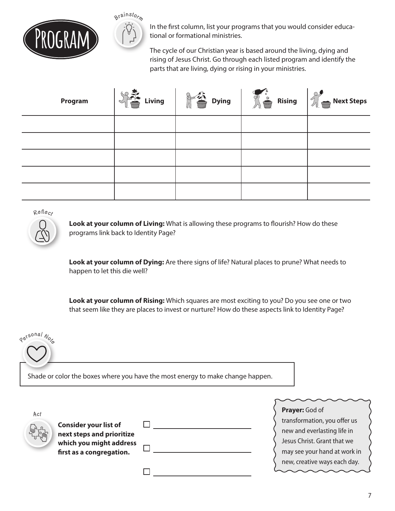



**PROGRAM** In the first column, list your programs that you would consider educa-<br>The cycle of our Christian year is based around the living, dying and tional or formational ministries.

rising of Jesus Christ. Go through each listed program and identify the parts that are living, dying or rising in your ministries.

| Program | Living<br>$\sim$ | $8 - 26$<br><b>Dying</b> | $\sum_{i=1}^{n}$<br><b>Rising</b><br>$\triangle$ | Next Steps |
|---------|------------------|--------------------------|--------------------------------------------------|------------|
|         |                  |                          |                                                  |            |
|         |                  |                          |                                                  |            |
|         |                  |                          |                                                  |            |
|         |                  |                          |                                                  |            |
|         |                  |                          |                                                  |            |

**Refec<sup>t</sup>**

**Look at your column of Living:** What is allowing these programs to flourish? How do these programs link back to Identity Page?

**Look at your column of Dying:** Are there signs of life? Natural places to prune? What needs to happen to let this die well?

**Look at your column of Rising:** Which squares are most exciting to you? Do you see one or two that seem like they are places to invest or nurture? How do these aspects link to Identity Page?



| Act |                                                           |  |
|-----|-----------------------------------------------------------|--|
|     | <b>Consider your list of</b><br>next steps and prioritize |  |
|     | which you might address                                   |  |
|     | first as a congregation.                                  |  |
|     |                                                           |  |

 $\Box$ 

**Prayer:** God of

transformation, you offer us new and everlasting life in Jesus Christ. Grant that we may see your hand at work in new, creative ways each day.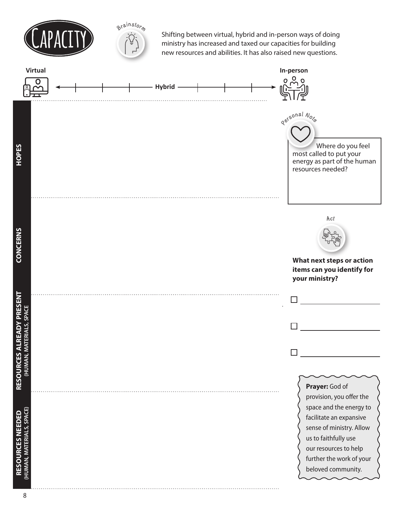



Shifting between virtual, hybrid and in-person ways of doing ministry has increased and taxed our capacities for building new resources and abilities. It has also raised new questions.

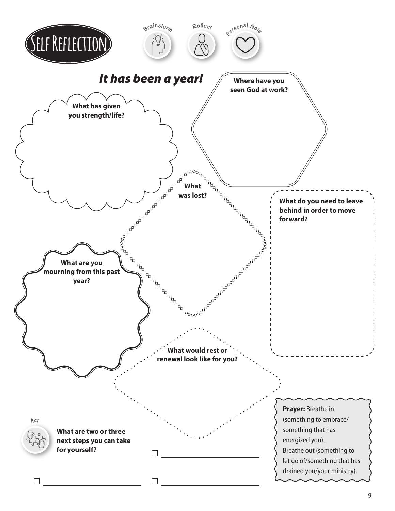